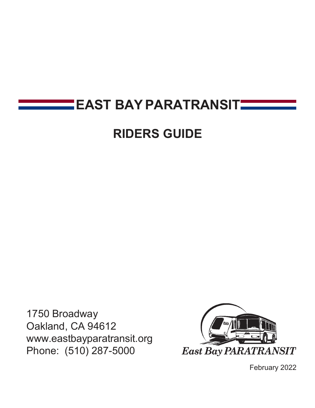# **EAST BAY PARATRANSITHER**

# **RIDERS GUIDE**

1750 Broadway Oakland, CA 9461[2](http://www.eastbayparatransit.org/) [www.eastbayparatransit.org](http://www.eastbayparatransit.org/) Phone: (510) 287-5000



February 2022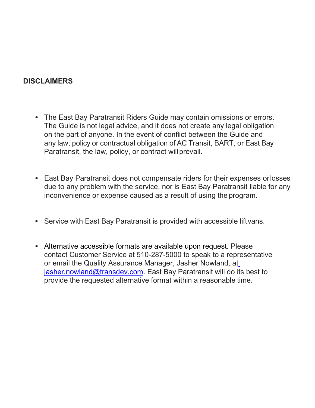#### **DISCLAIMERS**

- The East Bay Paratransit Riders Guide may contain omissions or errors. The Guide is not legal advice, and it does not create any legal obligation on the part of anyone. In the event of conflict between the Guide and any law, policy or contractual obligation of AC Transit, BART, or East Bay Paratransit, the law, policy, or contract will prevail.
- East Bay Paratransit does not compensate riders for their expenses orlosses due to any problem with the service, nor is East Bay Paratransit liable for any inconvenience or expense caused as a result of using the program.
- Service with East Bay Paratransit is provided with accessible liftvans.
- Alternative accessible formats are available upon request. Please contact Customer Service at 510-287-5000 to speak to a representative or email the Quality Assurance Manager, Jasher Nowland, a[t](mailto:jasher.nowland@transdev.com) [jasher.nowland@transdev.com.](mailto:jasher.nowland@transdev.com) East Bay Paratransit will do its best to provide the requested alternative format within a reasonable time.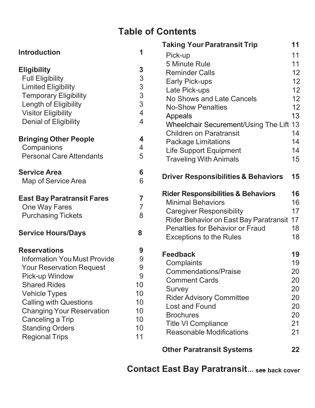## **Table of Contents**

|                                     |                | <b>Taking Your Paratransit Trip</b>                           | 11 |
|-------------------------------------|----------------|---------------------------------------------------------------|----|
| <b>Introduction</b>                 | 1              | Pick-up                                                       | 11 |
|                                     |                | 5 Minute Rule                                                 | 11 |
| <b>Eligibility</b>                  | 3              | <b>Reminder Calls</b>                                         | 12 |
| <b>Full Eligibility</b>             | 3              | <b>Early Pick-ups</b>                                         | 12 |
| <b>Limited Eligibility</b>          | 3              | Late Pick-ups                                                 | 12 |
| <b>Temporary Eligibility</b>        | $\overline{3}$ | No Shows and Late Cancels                                     | 12 |
| Length of Eligibility               | 3              | <b>No-Show Penalties</b>                                      | 12 |
| <b>Visitor Eligibility</b>          | 4              | Appeals                                                       | 13 |
| <b>Denial of Eligibility</b>        | 4              | Wheelchair Securement/Using The Lift 13                       |    |
| <b>Bringing Other People</b>        | 4              | <b>Children on Paratransit</b>                                | 14 |
| Companions                          | 4              | <b>Package Limitations</b>                                    | 14 |
| <b>Personal Care Attendants</b>     | 5              | <b>Life Support Equipment</b>                                 | 14 |
|                                     |                | <b>Traveling With Animals</b>                                 | 15 |
| <b>Service Area</b>                 | 6              | <b>Driver Responsibilities &amp; Behaviors</b>                | 15 |
| Map of Service Area                 | 6              |                                                               |    |
| <b>East Bay Paratransit Fares</b>   | $\overline{7}$ | <b>Rider Responsibilities &amp; Behaviors</b>                 | 16 |
| One Way Fares                       | $\overline{7}$ | <b>Minimal Behaviors</b>                                      | 16 |
| <b>Purchasing Tickets</b>           | 8              | <b>Caregiver Responsibility</b>                               | 17 |
|                                     |                | Rider Behavior on East Bay Paratransit                        | 17 |
| <b>Service Hours/Days</b>           | 8              | <b>Penalties for Behavior or Fraud</b>                        | 18 |
|                                     |                | <b>Exceptions to the Rules</b>                                | 18 |
| <b>Reservations</b>                 | 9              | <b>Feedback</b>                                               | 19 |
| <b>Information You Must Provide</b> | 9              | Complaints                                                    | 19 |
| <b>Your Reservation Request</b>     | 9              | <b>Commendations/Praise</b>                                   | 20 |
| Pick-up Window                      | 9              | <b>Comment Cards</b>                                          | 20 |
| <b>Shared Rides</b>                 | 10             | Survey                                                        | 20 |
| <b>Vehicle Types</b>                | 10             | <b>Rider Advisory Committee</b>                               | 20 |
| <b>Calling with Questions</b>       | 10             | <b>Lost and Found</b>                                         | 20 |
| <b>Changing Your Reservation</b>    | 10             | <b>Brochures</b>                                              | 20 |
| Canceling a Trip                    | 10             |                                                               | 21 |
| <b>Standing Orders</b>              | 10             | <b>Title VI Compliance</b><br><b>Reasonable Modifications</b> | 21 |
| <b>Regional Trips</b>               | 11             |                                                               |    |
|                                     |                |                                                               |    |

**[Other Paratransit](#page-24-0) Systems 22**

**Contact East Bay Paratransit... see back cover**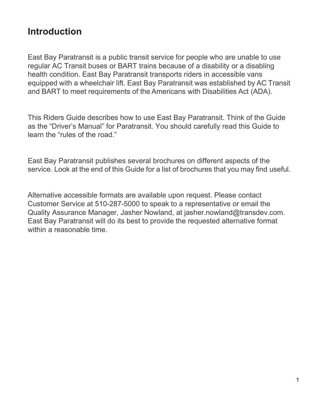## <span id="page-3-0"></span>**Introduction**

East Bay Paratransit is a public transit service for people who are unable to use regular AC Transit buses or BART trains because of a disability or a disabling health condition. East Bay Paratransit transports riders in accessible vans equipped with a wheelchair lift. East Bay Paratransit was established by AC Transit and BART to meet requirements of the Americans with Disabilities Act (ADA).

This Riders Guide describes how to use East Bay Paratransit. Think of the Guide as the "Driver's Manual" for Paratransit. You should carefully read this Guide to learn the "rules of the road."

East Bay Paratransit publishes several brochures on different aspects of the service. Look at the end of this Guide for a list of brochures that you may find useful.

Alternative accessible formats are available upon request. Please contact Customer Service at 510-287-5000 to speak to a representative or email the Quality Assurance Manager, Jasher Nowland, at [jasher.nowland@transdev.com.](mailto:jasher.nowland@transdev.com) East Bay Paratransit will do its best to provide the requested alternative format within a reasonable time.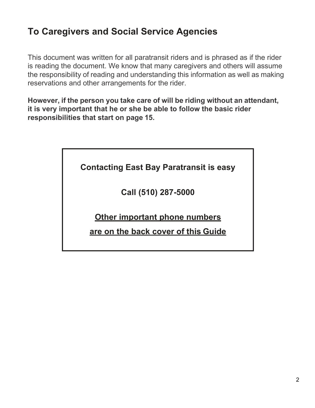## **To Caregivers and Social Service Agencies**

This document was written for all paratransit riders and is phrased as if the rider is reading the document. We know that many caregivers and others will assume the responsibility of reading and understanding this information as well as making reservations and other arrangements for the rider.

**However, if the person you take care of will be riding without an attendant, it is very important that he or she be able to follow the basic rider responsibilities that start on page 15.**

| <b>Contacting East Bay Paratransit is easy</b> |  |
|------------------------------------------------|--|
|------------------------------------------------|--|

**Call (510) 287-5000**

**Other important phone numbers**

**are on the back cover of this Guide**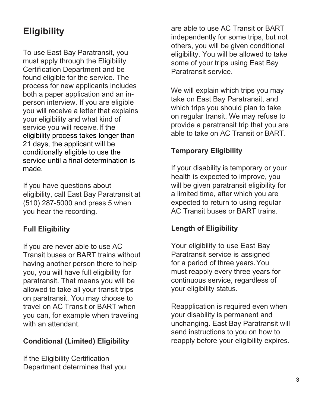## <span id="page-5-0"></span>**Eligibility**

To use East Bay Paratransit, you must apply through the Eligibility Certification Department and be found eligible for the service. The process for new applicants includes both a paper application and an inperson interview. If you are eligible you will receive a letter that explains your eligibility and what kind of service you will receive. If the eligibility process takes longer than 21 days, the applicant will be conditionally eligible to use the service until a final determination is made.

If you have questions about eligibility, call East Bay Paratransit at (510) 287-5000 and press 5 when you hear the recording.

## <span id="page-5-1"></span>**Full Eligibility**

If you are never able to use AC Transit buses or BART trains without having another person there to help you, you will have full eligibility for paratransit. That means you will be allowed to take all your transit trips on paratransit. You may choose to travel on AC Transit or BART when you can, for example when traveling with an attendant.

### **Conditional (Limited) Eligibility**

If the Eligibility Certification Department determines that you

are able to use AC Transit or BART independently for some trips, but not others, you will be given conditional eligibility. You will be allowed to take some of your trips using East Bay Paratransit service.

We will explain which trips you may take on East Bay Paratransit, and which trips you should plan to take on regular transit. We may refuse to provide a paratransit trip that you are able to take on AC Transit or BART.

## <span id="page-5-2"></span>**Temporary Eligibility**

If your disability is temporary or your health is expected to improve, you will be given paratransit eligibility for a limited time, after which you are expected to return to using regular AC Transit buses or BART trains.

### <span id="page-5-3"></span>**Length of Eligibility**

Your eligibility to use East Bay Paratransit service is assigned for a period of three years.You must reapply every three years for continuous service, regardless of your eligibility status.

Reapplication is required even when your disability is permanent and unchanging. East Bay Paratransit will send instructions to you on how to reapply before your eligibility expires.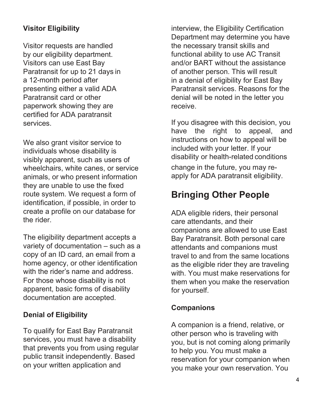## **Visitor Eligibility**

Visitor requests are handled by our eligibility department. Visitors can use East Bay Paratransit for up to 21 days in a 12-month period after presenting either a valid ADA Paratransit card or other paperwork showing they are certified for ADA paratransit services.

We also grant visitor service to individuals whose disability is visibly apparent, such as users of wheelchairs, white canes, or service animals, or who present information they are unable to use the fixed route system. We request a form of identification, if possible, in order to create a profile on our database for the rider.

The eligibility department accepts a variety of documentation – such as a copy of an ID card, an email from a home agency, or other identification with the rider's name and address. For those whose disability is not apparent, basic forms of disability documentation are accepted.

## <span id="page-6-0"></span>**Denial of Eligibility**

To qualify for East Bay Paratransit services, you must have a disability that prevents you from using regular public transit independently. Based on your written application and

interview, the Eligibility Certification Department may determine you have the necessary transit skills and functional ability to use AC Transit and/or BART without the assistance of another person. This will result in a denial of eligibility for East Bay Paratransit services. Reasons for the denial will be noted in the letter you receive.

If you disagree with this decision, you have the right to appeal, and instructions on how to appeal will be included with your letter. If your disability or health-related conditions change in the future, you may reapply for ADA paratransit eligibility.

## <span id="page-6-1"></span>**Bringing Other People**

ADA eligible riders, their personal care attendants, and their companions are allowed to use East Bay Paratransit. Both personal care attendants and companions must travel to and from the same locations as the eligible rider they are traveling with. You must make reservations for them when you make the reservation for yourself.

#### <span id="page-6-2"></span>**Companions**

A companion is a friend, relative, or other person who is traveling with you, but is not coming along primarily to help you. You must make a reservation for your companion when you make your own reservation. You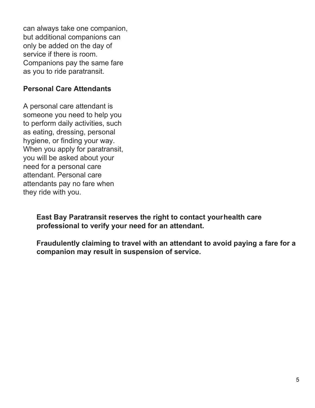can always take one companion, but additional companions can only be added on the day of service if there is room. Companions pay the same fare as you to ride paratransit.

#### <span id="page-7-0"></span>**Personal Care Attendants**

A personal care attendant is someone you need to help you to perform daily activities, such as eating, dressing, personal hygiene, or finding your way. When you apply for paratransit, you will be asked about your need for a personal care attendant. Personal care attendants pay no fare when they ride with you.

> **East Bay Paratransit reserves the right to contact yourhealth care professional to verify your need for an attendant.**

**Fraudulently claiming to travel with an attendant to avoid paying a fare for a companion may result in suspension of service.**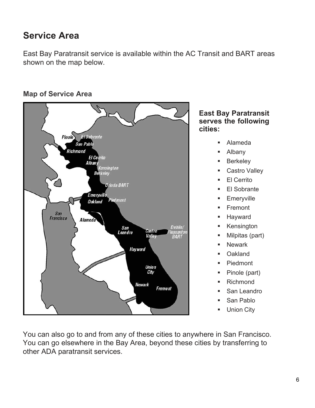## <span id="page-8-0"></span>**Service Area**

East Bay Paratransit service is available within the AC Transit and BART areas shown on the map below.

## <span id="page-8-1"></span>**Map of Service Area**



#### **East Bay Paratransit serves the following cities:**

- Alameda
- **Albany**
- **Berkeley**
- Castro Valley
- El Cerrito
- El Sobrante
- **Emeryville**
- Fremont
- **Hayward**
- **Kensington**
- Milpitas (part)
- **Newark**
- Oakland
- **•** Piedmont
- Pinole (part)
- **Richmond**
- San Leandro
- San Pablo
- Union City

You can also go to and from any of these cities to anywhere in San Francisco. You can go elsewhere in the Bay Area, beyond these cities by transferring to other ADA paratransit services.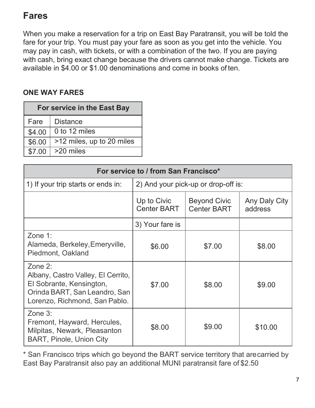## **Fares**

When you make a reservation for a trip on East Bay Paratransit, you will be told the fare for your trip. You must pay your fare as soon as you get into the vehicle. You may pay in cash, with tickets, or with a combination of the two. If you are paying with cash, bring exact change because the drivers cannot make change. Tickets are available in \$4.00 or \$1.00 denominations and come in books of ten.

## <span id="page-9-0"></span>**ONE WAY FARES**

| For service in the East Bay |                           |  |
|-----------------------------|---------------------------|--|
| Fare                        | <b>Distance</b>           |  |
| \$4.00                      | 0 to 12 miles             |  |
| \$6.00                      | >12 miles, up to 20 miles |  |
| \$7.00                      | >20 miles                 |  |

| For service to / from San Francisco*                                                                                                        |                                     |                                           |                          |
|---------------------------------------------------------------------------------------------------------------------------------------------|-------------------------------------|-------------------------------------------|--------------------------|
| 1) If your trip starts or ends in:                                                                                                          | 2) And your pick-up or drop-off is: |                                           |                          |
|                                                                                                                                             | Up to Civic<br><b>Center BART</b>   | <b>Beyond Civic</b><br><b>Center BART</b> | Any Daly City<br>address |
|                                                                                                                                             | 3) Your fare is                     |                                           |                          |
| Zone 1:<br>Alameda, Berkeley, Emeryville,<br>Piedmont, Oakland                                                                              | \$6.00                              | \$7.00                                    | \$8.00                   |
| Zone 2:<br>Albany, Castro Valley, El Cerrito,<br>El Sobrante, Kensington,<br>Orinda BART, San Leandro, San<br>Lorenzo, Richmond, San Pablo. | \$7.00                              | \$8.00                                    | \$9.00                   |
| Zone 3:<br>Fremont, Hayward, Hercules,<br>Milpitas, Newark, Pleasanton<br><b>BART, Pinole, Union City</b>                                   | \$8.00                              | \$9.00                                    | \$10.00                  |

\* San Francisco trips which go beyond the BART service territory that arecarried by East Bay Paratransit also pay an additional MUNI paratransit fare of \$2.50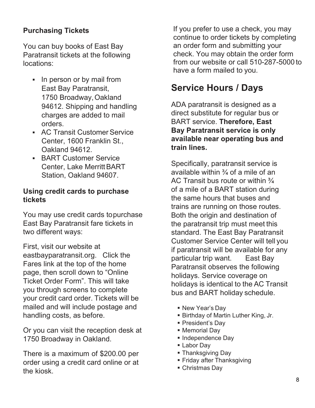### <span id="page-10-0"></span>**Purchasing Tickets**

You can buy books of East Bay Paratransit tickets at the following locations:

- In person or by mail from East Bay Paratransit, 1750 Broadway,Oakland 94612. Shipping and handling charges are added to mail orders.
- AC Transit Customer Service Center, 1600 Franklin St., Oakland 94612.
- **BART Customer Service** Center, Lake Merritt BART Station, Oakland 94607.

#### **Using credit cards to purchase tickets**

You may use credit cards topurchase East Bay Paratransit fare tickets in two different ways:

First, visit our website at eastbayparatransit.org. Click the Fares link at the top of the home page, then scroll down to "Online Ticket Order Form". This will take you through screens to complete your credit card order. Tickets will be mailed and will include postage and handling costs, as before.

Or you can visit the reception desk at 1750 Broadway in Oakland.

There is a maximum of \$200.00 per order using a credit card online or at the kiosk.

If you prefer to use a check, you may continue to order tickets by completing an order form and submitting your check. You may obtain the order form from our website or call 510-287-5000 to have a form mailed to you.

## <span id="page-10-1"></span>**Service Hours / Days**

ADA paratransit is designed as a direct substitute for regular bus or BART service. **Therefore, East Bay Paratransit service is only available near operating bus and train lines.**

Specifically, paratransit service is available within  $\frac{3}{4}$  of a mile of an AC Transit bus route or within  $\frac{3}{4}$ of a mile of a BART station during the same hours that buses and trains are running on those routes. Both the origin and destination of the paratransit trip must meet this standard. The East Bay Paratransit Customer Service Center will tell you if paratransit will be available for any particular trip want. East Bay Paratransit observes the following holidays. Service coverage on holidays is identical to the AC Transit bus and BART holiday schedule.

- New Year's Day
- Birthday of Martin Luther King, Jr.
- **President's Day**
- **Memorial Day**
- **Independence Day**
- Labor Day
- **Thanksgiving Day**
- **Friday after Thanksgiving**
- Christmas Day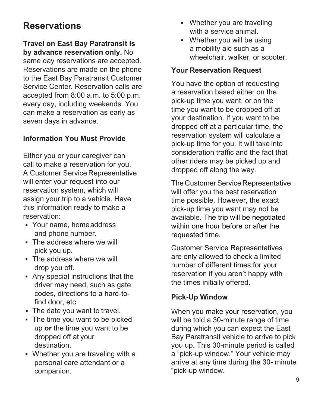## <span id="page-11-0"></span>**Reservations**

#### **Travel on East Bay Paratransit is by advance reservation only.** No

same day reservations are accepted. Reservations are made on the phone to the East Bay Paratransit Customer Service Center. Reservation calls are accepted from 8:00 a.m. to 5:00 p.m. every day, including weekends. You can make a reservation as early as seven days in advance.

### <span id="page-11-1"></span>**Information You Must Provide**

Either you or your caregiver can call to make a reservation for you. A Customer Service Representative will enter your request into our reservation system, which will assign your trip to a vehicle. Have this information ready to make a reservation:

- Your name, homeaddress and phone number.
- **The address where we will** pick you up.
- **The address where we will** drop you off.
- Any special instructions that the driver may need, such as gate codes, directions to a hard-tofind door, etc.
- The date you want to travel.
- The time you want to be picked up **or** the time you want to be dropped off at your destination.
- Whether you are traveling with a personal care attendant or a companion.
- **Whether you are traveling** with a service animal.
- Whether you will be using a mobility aid such as a wheelchair, walker, or scooter.

#### <span id="page-11-2"></span>**Your Reservation Request**

You have the option of requesting a reservation based either on the pick-up time you want, or on the time you want to be dropped off at your destination. If you want to be dropped off at a particular time, the reservation system will calculate a pick-up time for you. It will take into consideration traffic and the fact that other riders may be picked up and dropped off along the way.

The Customer Service Representative will offer you the best reservation time possible. However, the exact pick-up time you want may not be available. The trip will be negotiated within one hour before or after the requested time.

Customer Service Representatives are only allowed to check a limited number of different times for your reservation if you aren't happy with the times initially offered.

#### <span id="page-11-3"></span>**Pick-Up Window**

When you make your reservation, you will be told a 30-minute range of time during which you can expect the East Bay Paratransit vehicle to arrive to pick you up. This 30-minute period is called a "pick-up window." Your vehicle may arrive at any time during the 30- minute "pick-up window.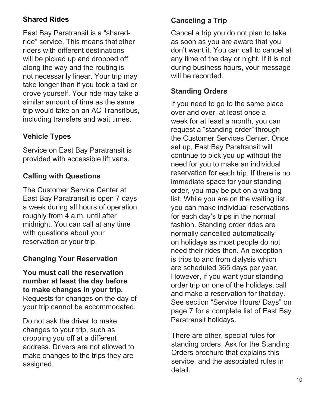## <span id="page-12-0"></span>**Shared Rides**

East Bay Paratransit is a "sharedride" service. This means that other riders with different destinations will be picked up and dropped off along the way and the routing is not necessarily linear. Your trip may take longer than if you took a taxi or drove yourself. Your ride may take a similar amount of time as the same trip would take on an AC Transitbus, including transfers and wait times.

## <span id="page-12-1"></span>**Vehicle Types**

Service on East Bay Paratransit is provided with accessible lift vans.

### <span id="page-12-2"></span>**Calling with Questions**

The Customer Service Center at East Bay Paratransit is open 7 days a week during all hours of operation roughly from 4 a.m. until after midnight. You can call at any time with questions about your reservation or your trip.

### <span id="page-12-3"></span>**Changing Your Reservation**

#### **You must call the reservation number at least the day before to make changes in your trip.**

Requests for changes on the day of your trip cannot be accommodated.

Do not ask the driver to make changes to your trip, such as dropping you off at a different address. Drivers are not allowed to make changes to the trips they are assigned.

### <span id="page-12-4"></span>**Canceling a Trip**

Cancel a trip you do not plan to take as soon as you are aware that you don't want it. You can call to cancel at any time of the day or night. If it is not during business hours, your message will be recorded.

#### <span id="page-12-5"></span>**Standing Orders**

If you need to go to the same place over and over, at least once a week for at least a month, you can request a "standing order" through the Customer Services Center. Once set up, East Bay Paratransit will continue to pick you up without the need for you to make an individual reservation for each trip. If there is no immediate space for your standing order, you may be put on a waiting list. While you are on the waiting list, you can make individual reservations for each day's trips in the normal fashion. Standing order rides are normally cancelled automatically on holidays as most people do not need their rides then. An exception is trips to and from dialysis which are scheduled 365 days per year. However, if you want your standing order trip on one of the holidays, call and make a reservation for that day. See section "Service Hours/ Days" on page 7 for a complete list of East Bay Paratransit holidays.

There are other, special rules for standing orders. Ask for the Standing Orders brochure that explains this service, and the associated rules in detail.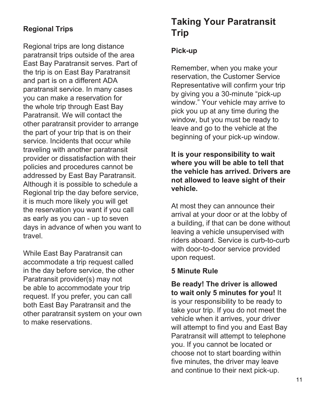### <span id="page-13-1"></span>**Regional Trips**

Regional trips are long distance paratransit trips outside of the area East Bay Paratransit serves. Part of the trip is on East Bay Paratransit and part is on a different ADA paratransit service. In many cases you can make a reservation for the whole trip through East Bay Paratransit. We will contact the other paratransit provider to arrange the part of your trip that is on their service. Incidents that occur while traveling with another paratransit provider or dissatisfaction with their policies and procedures cannot be addressed by East Bay Paratransit. Although it is possible to schedule a Regional trip the day before service, it is much more likely you will get the reservation you want if you call as early as you can - up to seven days in advance of when you want to travel.

While East Bay Paratransit can accommodate a trip request called in the day before service, the other Paratransit provider(s) may not be able to accommodate your trip request. If you prefer, you can call both East Bay Paratransit and the other paratransit system on your own to make reservations.

## **Taking Your Paratransit Trip**

#### <span id="page-13-2"></span>**Pick-up**

Remember, when you make your reservation, the Customer Service Representative will confirm your trip by giving you a 30-minute "pick-up window." Your vehicle may arrive to pick you up at any time during the window, but you must be ready to leave and go to the vehicle at the beginning of your pick-up window.

**It is your responsibility to wait where you will be able to tell that the vehicle has arrived. Drivers are not allowed to leave sight of their vehicle.**

At most they can announce their arrival at your door or at the lobby of a building, if that can be done without leaving a vehicle unsupervised with riders aboard. Service is curb-to-curb with door-to-door service provided upon request.

#### <span id="page-13-3"></span>**5 Minute Rule**

<span id="page-13-0"></span>**Be ready! The driver is allowed to wait only 5 minutes for you!** It is your responsibility to be ready to take your trip. If you do not meet the vehicle when it arrives, your driver will attempt to find you and East Bay Paratransit will attempt to telephone you. If you cannot be located or choose not to start boarding within five minutes, the driver may leave and continue to their next pick-up.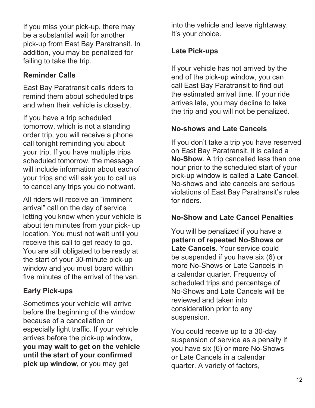If you miss your pick-up, there may be a substantial wait for another pick-up from East Bay Paratransit. In addition, you may be penalized for failing to take the trip.

### <span id="page-14-0"></span>**Reminder Calls**

East Bay Paratransit calls riders to remind them about scheduled trips and when their vehicle is closeby.

If you have a trip scheduled tomorrow, which is not a standing order trip, you will receive a phone call tonight reminding you about your trip. If you have multiple trips scheduled tomorrow, the message will include information about eachof your trips and will ask you to call us to cancel any trips you do not want.

All riders will receive an "imminent arrival" call on the day of service letting you know when your vehicle is about ten minutes from your pick- up location. You must not wait until you receive this call to get ready to go. You are still obligated to be ready at the start of your 30-minute pick-up window and you must board within five minutes of the arrival of the van.

## <span id="page-14-1"></span>**Early Pick-ups**

Sometimes your vehicle will arrive before the beginning of the window because of a cancellation or especially light traffic. If your vehicle arrives before the pick-up window, **you may wait to get on the vehicle until the start of your confirmed pick up window,** or you may get

into the vehicle and leave rightaway. It's your choice.

## <span id="page-14-2"></span>**Late Pick-ups**

If your vehicle has not arrived by the end of the pick-up window, you can call East Bay Paratransit to find out the estimated arrival time. If your ride arrives late, you may decline to take the trip and you will not be penalized.

### <span id="page-14-3"></span>**No-shows and Late Cancels**

If you don't take a trip you have reserved on East Bay Paratransit, it is called a **No-Show**. A trip cancelled less than one hour prior to the scheduled start of your pick-up window is called a **Late Cancel**. No-shows and late cancels are serious violations of East Bay Paratransit's rules for riders.

## <span id="page-14-4"></span>**No-Show and Late Cancel Penalties**

You will be penalized if you have a **pattern of repeated No-Shows or Late Cancels.** Your service could be suspended if you have six (6) or more No-Shows or Late Cancels in a calendar quarter. Frequency of scheduled trips and percentage of No-Shows and Late Cancels will be reviewed and taken into consideration prior to any suspension.

You could receive up to a 30-day suspension of service as a penalty if you have six (6) or more No-Shows or Late Cancels in a calendar quarter. A variety of factors,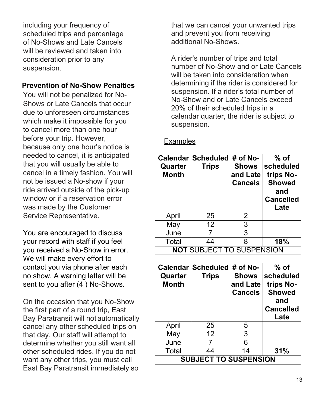including your frequency of scheduled trips and percentage of No-Shows and Late Cancels will be reviewed and taken into consideration prior to any suspension.

#### **Prevention of No-Show Penalties**

You will not be penalized for No-Shows or Late Cancels that occur due to unforeseen circumstances which make it impossible for you to cancel more than one hour before your trip. However, because only one hour's notice is needed to cancel, it is anticipated that you will usually be able to cancel in a timely fashion. You will not be issued a No-show if your ride arrived outside of the pick-up window or if a reservation error was made by the Customer Service Representative.

You are encouraged to discuss your record with staff if you feel you received a No-Show in error. We will make every effort to contact you via phone after each no show. A warning letter will be sent to you after (4 ) No-Shows.

On the occasion that you No-Show the first part of a round trip, East Bay Paratransit will not automatically cancel any other scheduled trips on that day. Our staff will attempt to determine whether you still want all other scheduled rides. If you do not want any other trips, you must call East Bay Paratransit immediately so

that we can cancel your unwanted trips and prevent you from receiving additional No-Shows.

A rider's number of trips and total number of No-Show and or Late Cancels will be taken into consideration when determining if the rider is considered for suspension. If a rider's total number of No-Show and or Late Cancels exceed 20% of their scheduled trips in a calendar quarter, the rider is subject to suspension.

#### **Examples**

| Quarter<br><b>Month</b>          | Calendar Scheduled # of No-<br><b>Trips</b> | <b>Shows</b><br>and Late<br><b>Cancels</b> | $%$ of<br>scheduled<br>trips No-<br><b>Showed</b><br>and<br><b>Cancelled</b><br>Late |
|----------------------------------|---------------------------------------------|--------------------------------------------|--------------------------------------------------------------------------------------|
| April                            | 25                                          | 2                                          |                                                                                      |
| May                              | $12 \overline{ }$                           | 3                                          |                                                                                      |
| June                             |                                             | 3                                          |                                                                                      |
| Total                            | 44                                          | 8                                          | 18%                                                                                  |
| <b>NOT SUBJECT TO SUSPENSION</b> |                                             |                                            |                                                                                      |

| Quarter<br><b>Month</b>      | <b>Calendar Scheduled</b><br><b>Trips</b> | $#$ of No-<br><b>Shows</b><br>and Late<br><b>Cancels</b> | $%$ of<br>scheduled<br>trips No-<br><b>Showed</b><br>and<br><b>Cancelled</b><br>Late |
|------------------------------|-------------------------------------------|----------------------------------------------------------|--------------------------------------------------------------------------------------|
| April                        | 25                                        | 5                                                        |                                                                                      |
| May                          | 12 <sup>2</sup>                           | 3                                                        |                                                                                      |
| June                         | 7                                         | 6                                                        |                                                                                      |
| Total                        | 44                                        | 14                                                       | 31%                                                                                  |
| <b>SUBJECT TO SUSPENSION</b> |                                           |                                                          |                                                                                      |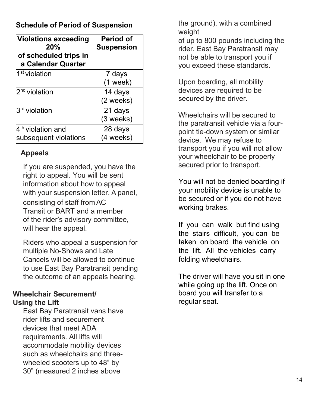### **Schedule of Period of Suspension**

| <b>Violations exceeding</b><br>20%<br>of scheduled trips in<br>a Calendar Quarter | <b>Period of</b><br><b>Suspension</b> |
|-----------------------------------------------------------------------------------|---------------------------------------|
| 1 <sup>st</sup> violation                                                         | 7 days<br>$(1$ week)                  |
| 2 <sup>nd</sup> violation                                                         | 14 days<br>(2 weeks)                  |
| 3 <sup>rd</sup> violation                                                         | 21 days<br>$(3$ weeks)                |
| 4 <sup>th</sup> violation and<br>subsequent violations                            | 28 days<br>(4 weeks)                  |

### <span id="page-16-0"></span>**Appeals**

If you are suspended, you have the right to appeal. You will be sent information about how to appeal with your suspension letter. A panel, consisting of staff from AC Transit or BART and a member of the rider's advisory committee, will hear the appeal.

Riders who appeal a suspension for multiple No-Shows and Late Cancels will be allowed to continue to use East Bay Paratransit pending the outcome of an appeals hearing.

#### <span id="page-16-1"></span>**Wheelchair Securement/ Using the Lift**

East Bay Paratransit vans have rider lifts and securement devices that meet ADA requirements. All lifts will accommodate mobility devices such as wheelchairs and threewheeled scooters up to 48" by 30" (measured 2 inches above

the ground), with a combined weight

of up to 800 pounds including the rider. East Bay Paratransit may not be able to transport you if you exceed these standards.

Upon boarding, all mobility devices are required to be secured by the driver.

Wheelchairs will be secured to the paratransit vehicle via a fourpoint tie-down system or similar device. We may refuse to transport you if you will not allow your wheelchair to be properly secured prior to transport.

You will not be denied boarding if your mobility device is unable to be secured or if you do not have working brakes.

If you can walk but find using the stairs difficult, you can be taken on board the vehicle on the lift. All the vehicles carry folding wheelchairs.

The driver will have you sit in one while going up the lift. Once on board you will transfer to a regular seat.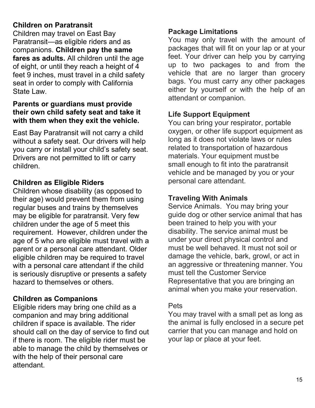### **Children on Paratransit**

Children may travel on East Bay Paratransit—as eligible riders and as companions. **Children pay the same fares as adults.** All children until the age of eight, or until they reach a height of 4 feet 9 inches, must travel in a child safety seat in order to comply with California State Law

#### **Parents or guardians must provide their own child safety seat and take it with them when they exit the vehicle.**

East Bay Paratransit will not carry a child without a safety seat. Our drivers will help you carry or install your child's safety seat. Drivers are not permitted to lift or carry children.

### **Children as Eligible Riders**

Children whose disability (as opposed to their age) would prevent them from using regular buses and trains by themselves may be eligible for paratransit. Very few children under the age of 5 meet this requirement. However, children under the age of 5 who are eligible must travel with a parent or a personal care attendant. Older eligible children may be required to travel with a personal care attendant if the child is seriously disruptive or presents a safety hazard to themselves or others.

#### **Children as Companions**

Eligible riders may bring one child as a companion and may bring additional children if space is available. The rider should call on the day of service to find out if there is room. The eligible rider must be able to manage the child by themselves or with the help of their personal care attendant.

#### <span id="page-17-1"></span><span id="page-17-0"></span>**Package Limitations**

You may only travel with the amount of packages that will fit on your lap or at your feet. Your driver can help you by carrying up to two packages to and from the vehicle that are no larger than grocery bags. You must carry any other packages either by yourself or with the help of an attendant or companion.

### <span id="page-17-2"></span>**Life Support Equipment**

You can bring your respirator, portable oxygen, or other life support equipment as long as it does not violate laws or rules related to transportation of hazardous materials. Your equipment must be small enough to fit into the paratransit vehicle and be managed by you or your personal care attendant.

#### <span id="page-17-3"></span>**Traveling With Animals**

Service Animals. You may bring your guide dog or other service animal that has been trained to help you with your disability. The service animal must be under your direct physical control and must be well behaved. It must not soil or damage the vehicle, bark, growl, or act in an aggressive or threatening manner. You must tell the Customer Service Representative that you are bringing an animal when you make your reservation.

#### Pets

You may travel with a small pet as long as the animal is fully enclosed in a secure pet carrier that you can manage and hold on your lap or place at your feet.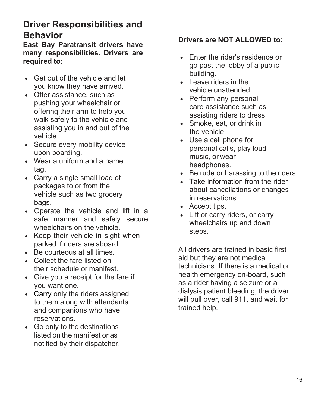## **Driver Responsibilities and Behavior**

**East Bay Paratransit drivers have many responsibilities. Drivers are required to:**

- Get out of the vehicle and let you know they have arrived.
- Offer assistance, such as pushing your wheelchair or offering their arm to help you walk safely to the vehicle and assisting you in and out of the vehicle.
- Secure every mobility device upon boarding.
- Wear a uniform and a name tag.
- Carry a single small load of packages to or from the vehicle such as two grocery bags.
- Operate the vehicle and lift in a safe manner and safely secure wheelchairs on the vehicle.
- Keep their vehicle in sight when parked if riders are aboard.
- Be courteous at all times.
- Collect the fare listed on their schedule or manifest.
- Give you a receipt for the fare if you want one.
- Carry only the riders assigned to them along with attendants and companions who have reservations.
- Go only to the destinations listed on the manifest or as notified by their dispatcher.

#### **Drivers are NOT ALLOWED to:**

- Enter the rider's residence or go past the lobby of a public building.
- Leave riders in the vehicle unattended.
- Perform any personal care assistance such as assisting riders to dress.
- Smoke, eat, or drink in the vehicle.
- Use a cell phone for personal calls, play loud music, or wear headphones.
- Be rude or harassing to the riders.
- Take information from the rider about cancellations or changes in reservations.
- Accept tips.
- Lift or carry riders, or carry wheelchairs up and down steps.

All drivers are trained in basic first aid but they are not medical technicians. If there is a medical or health emergency on-board, such as a rider having a seizure or a dialysis patient bleeding, the driver will pull over, call 911, and wait for trained help.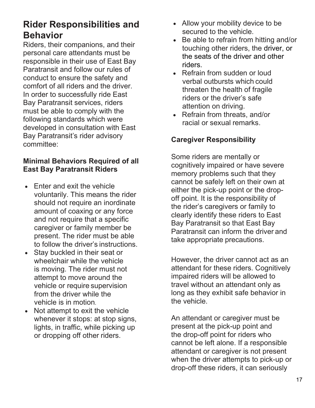## **Rider Responsibilities and Behavior**

Riders, their companions, and their personal care attendants must be responsible in their use of East Bay Paratransit and follow our rules of conduct to ensure the safety and comfort of all riders and the driver. In order to successfully ride East Bay Paratransit services, riders must be able to comply with the following standards which were developed in consultation with East Bay Paratransit's rider advisory committee:

### **Minimal Behaviors Required of all East Bay Paratransit Riders**

- Enter and exit the vehicle voluntarily. This means the rider should not require an inordinate amount of coaxing or any force and not require that a specific caregiver or family member be present. The rider must be able to follow the driver's instructions.
- Stay buckled in their seat or wheelchair while the vehicle is moving. The rider must not attempt to move around the vehicle or require supervision from the driver while the vehicle is in motion.
- Not attempt to exit the vehicle whenever it stops: at stop signs, lights, in traffic, while picking up or dropping off other riders.
- Allow your mobility device to be secured to the vehicle.
- Be able to refrain from hitting and/or touching other riders, the driver, or the seats of the driver and other riders.
- Refrain from sudden or loud verbal outbursts which could threaten the health of fragile riders or the driver's safe attention on driving.
- Refrain from threats, and/or racial or sexual remarks.

## <span id="page-19-0"></span>**Caregiver Responsibility**

Some riders are mentally or cognitively impaired or have severe memory problems such that they cannot be safely left on their own at either the pick-up point or the dropoff point. It is the responsibility of the rider's caregivers or family to clearly identify these riders to East Bay Paratransit so that East Bay Paratransit can inform the driver and take appropriate precautions.

However, the driver cannot act as an attendant for these riders. Cognitively impaired riders will be allowed to travel without an attendant only as long as they exhibit safe behavior in the vehicle.

An attendant or caregiver must be present at the pick-up point and the drop-off point for riders who cannot be left alone. If a responsible attendant or caregiver is not present when the driver attempts to pick-up or drop-off these riders, it can seriously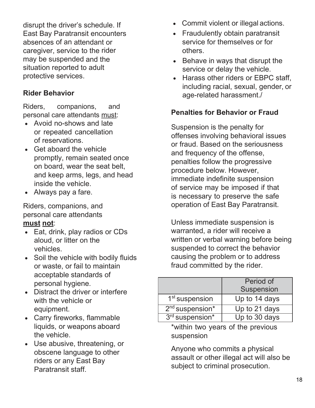disrupt the driver's schedule. If East Bay Paratransit encounters absences of an attendant or caregiver, service to the rider may be suspended and the situation reported to adult protective services.

### **Rider Behavior**

Riders, companions, and personal care attendants must:

- Avoid no-shows and late or repeated cancellation of reservations.
- Get aboard the vehicle promptly, remain seated once on board, wear the seat belt, and keep arms, legs, and head inside the vehicle.
- Always pay a fare.

Riders, companions, and personal care attendants **must not**:

- Eat, drink, play radios or CDs aloud, or litter on the vehicles.
- Soil the vehicle with bodily fluids or waste, or fail to maintain acceptable standards of personal hygiene.
- Distract the driver or interfere with the vehicle or equipment.
- Carry fireworks, flammable liquids, or weapons aboard the vehicle.
- Use abusive, threatening, or obscene language to other riders or any East Bay Paratransit staff.
- Commit violent or illegal actions.
- Fraudulently obtain paratransit service for themselves or for others.
- Behave in ways that disrupt the service or delay the vehicle.
- Harass other riders or EBPC staff, including racial, sexual, gender, or age-related harassment./

### **Penalties for Behavior or Fraud**

Suspension is the penalty for offenses involving behavioral issues or fraud. Based on the seriousness and frequency of the offense, penalties follow the progressive procedure below. However, immediate indefinite suspension of service may be imposed if that is necessary to preserve the safe operation of East Bay Paratransit.

Unless immediate suspension is warranted, a rider will receive a written or verbal warning before being suspended to correct the behavior causing the problem or to address fraud committed by the rider.

|                             | Period of<br>Suspension |
|-----------------------------|-------------------------|
| 1 <sup>st</sup> suspension  | Up to 14 days           |
| $2nd$ suspension*           | Up to 21 days           |
| 3 <sup>rd</sup> suspension* | Up to 30 days           |

\*within two years of the previous suspension

Anyone who commits a physical assault or other illegal act will also be subject to criminal prosecution.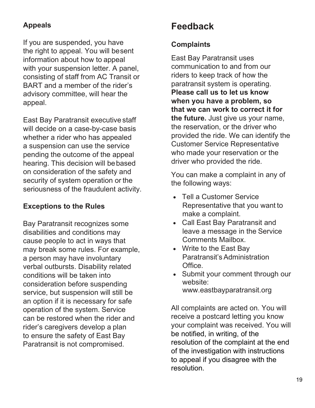## **Appeals**

If you are suspended, you have the right to appeal. You will besent information about how to appeal with your suspension letter. A panel, consisting of staff from AC Transit or BART and a member of the rider's advisory committee, will hear the appeal.

East Bay Paratransit executive staff will decide on a case-by-case basis whether a rider who has appealed a suspension can use the service pending the outcome of the appeal hearing. This decision will bebased on consideration of the safety and security of system operation or the seriousness of the fraudulent activity.

## <span id="page-21-0"></span>**Exceptions to the Rules**

Bay Paratransit recognizes some disabilities and conditions may cause people to act in ways that may break some rules. For example, a person may have involuntary verbal outbursts. Disability related conditions will be taken into consideration before suspending service, but suspension will still be an option if it is necessary for safe operation of the system. Service can be restored when the rider and rider's caregivers develop a plan to ensure the safety of East Bay Paratransit is not compromised.

## <span id="page-21-2"></span>**Feedback**

### **Complaints**

East Bay Paratransit uses communication to and from our riders to keep track of how the paratransit system is operating. **Please call us to let us know when you have a problem, so that we can work to correct it for the future.** Just give us your name, the reservation, or the driver who provided the ride. We can identify the Customer Service Representative who made your reservation or the driver who provided the ride.

You can make a complaint in any of the following ways:

- Tell a Customer Service Representative that you want to make a complaint.
- Call East Bay Paratransit and leave a message in the Service Comments Mailbox.
- Write to the East Bay Paratransit's Administration **Office**
- Submit your comment through our website: [www.eastbayparatransit.org](http://www.eastbayparatransit.org/)

<span id="page-21-1"></span>All complaints are acted on. You will receive a postcard letting you know your complaint was received. You will be notified, in writing, of the resolution of the complaint at the end of the investigation with instructions to appeal if you disagree with the resolution.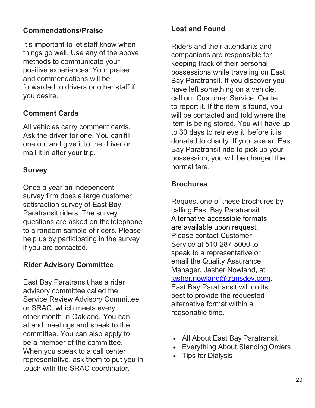### <span id="page-22-0"></span>**Commendations/Praise**

It's important to let staff know when things go well. Use any of the above methods to communicate your positive experiences. Your praise and commendations will be forwarded to drivers or other staff if you desire.

#### <span id="page-22-1"></span>**Comment Cards**

All vehicles carry comment cards. Ask the driver for one. You can fill one out and give it to the driver or mail it in after your trip.

#### <span id="page-22-2"></span>**Survey**

Once a year an independent survey firm does a large customer satisfaction survey of East Bay Paratransit riders. The survey questions are asked on the telephone to a random sample of riders. Please help us by participating in the survey if you are contacted.

#### <span id="page-22-3"></span>**Rider Advisory Committee**

East Bay Paratransit has a rider advisory committee called the Service Review Advisory Committee or SRAC, which meets every other month in Oakland. You can attend meetings and speak to the committee. You can also apply to be a member of the committee. When you speak to a call center representative, ask them to put you in touch with the SRAC coordinator.

#### **Lost and Found**

Riders and their attendants and companions are responsible for keeping track of their personal possessions while traveling on East Bay Paratransit. If you discover you have left something on a vehicle, call our Customer Service Center to report it. If the item is found, you will be contacted and told where the item is being stored. You will have up to 30 days to retrieve it, before it is donated to charity. If you take an East Bay Paratransit ride to pick up your possession, you will be charged the normal fare.

#### <span id="page-22-4"></span>**Brochures**

Request one of these brochures by calling East Bay Paratransit. Alternative accessible formats are available upon request. Please contact Customer Service at 510-287-5000 to speak to a representative or email the Quality Assurance Manager, Jasher Nowland, at [jasher.nowland@transdev.com.](mailto:jasher.nowland@transdev.com) East Bay Paratransit will do its best to provide the requested alternative format within a reasonable time.

- All About East Bay Paratransit
- Everything About Standing Orders
- Tips for Dialysis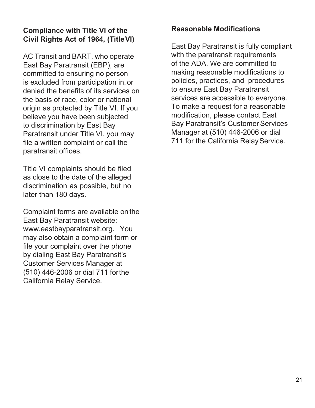#### <span id="page-23-0"></span>**Compliance with Title VI of the Civil Rights Act of 1964, (TitleVI)**

AC Transit and BART, who operate East Bay Paratransit (EBP), are committed to ensuring no person is excluded from participation in, or denied the benefits of its services on the basis of race, color or national origin as protected by Title VI. If you believe you have been subjected to discrimination by East Bay Paratransit under Title VI, you may file a written complaint or call the paratransit offices.

Title VI complaints should be filed as close to the date of the alleged discrimination as possible, but no later than 180 days.

Complaint forms are available on the East Bay Paratransit website: [www.eastbayparatransit.org.](http://www.eastbayparatransit.org/) You may also obtain a complaint form or file your complaint over the phone by dialing East Bay Paratransit's Customer Services Manager at (510) 446-2006 or dial 711 forthe California Relay Service.

#### **Reasonable Modifications**

East Bay Paratransit is fully compliant with the paratransit requirements of the ADA. We are committed to making reasonable modifications to policies, practices, and procedures to ensure East Bay Paratransit services are accessible to everyone. To make a request for a reasonable modification, please contact East Bay Paratransit's Customer Services Manager at (510) 446-2006 or dial 711 for the California Relay Service.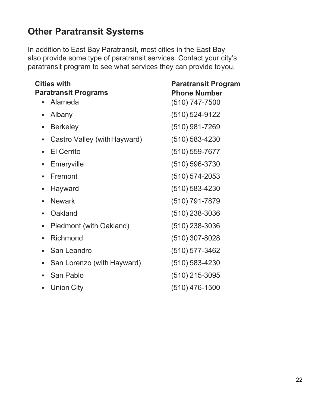## <span id="page-24-0"></span>**Other Paratransit Systems**

In addition to East Bay Paratransit, most cities in the East Bay also provide some type of paratransit services. Contact your city's paratransit program to see what services they can provide toyou.

| <b>Cities with</b>                     | <b>Paratransit Program</b>              |
|----------------------------------------|-----------------------------------------|
| <b>Paratransit Programs</b><br>Alameda | <b>Phone Number</b><br>$(510)$ 747-7500 |
| Albany<br>$\blacksquare$               | $(510) 524 - 9122$                      |
| <b>Berkeley</b><br>п                   | $(510)$ 981-7269                        |
| Castro Valley (with Hayward)<br>٠      | $(510) 583 - 4230$                      |
| <b>El Cerrito</b><br>٠                 | $(510) 559 - 7677$                      |
| Emeryville<br>g,                       | $(510) 596 - 3730$                      |
| Fremont<br>٠                           | $(510) 574 - 2053$                      |
| Hayward<br>ш                           | $(510) 583 - 4230$                      |
| <b>Newark</b><br>٠                     | (510) 791-7879                          |
| Oakland<br>п.                          | $(510)$ 238-3036                        |
| Piedmont (with Oakland)<br>ш           | $(510)$ 238-3036                        |
| Richmond<br>ш                          | $(510)$ 307-8028                        |
| San Leandro<br>٠                       | $(510)$ 577-3462                        |
| San Lorenzo (with Hayward)<br>٠        | $(510) 583 - 4230$                      |
| San Pablo<br>$\blacksquare$            | $(510)$ 215-3095                        |
| <b>Union City</b><br>ш                 | $(510)$ 476-1500                        |
|                                        |                                         |